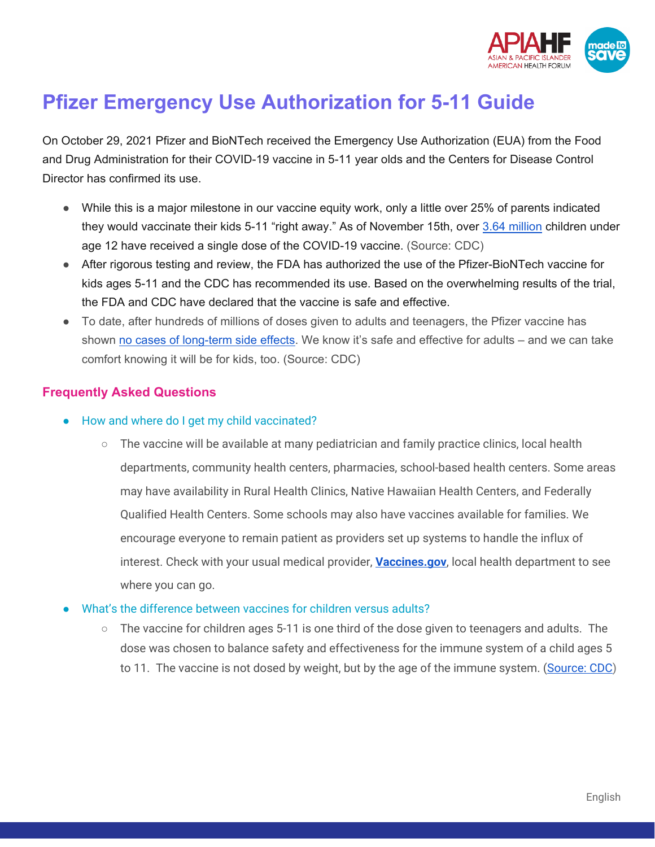

## **Pfizer Emergency Use Authorization for 5-11 Guide**

On October 29, 2021 Pfizer and BioNTech received the Emergency Use Authorization (EUA) from the Food and Drug Administration for their COVID-19 vaccine in 5-11 year olds and the Centers for Disease Control Director has confirmed its use.

- While this is a major milestone in our vaccine equity work, only a little over 25% of parents indicated they would vaccinate their kids 5-11 "right away." As of November 15th, over [3.64 million](https://covid.cdc.gov/covid-data-tracker/#vaccination-demographic) children under age 12 have received a single dose of the COVID-19 vaccine. (Source: CDC)
- After rigorous testing and review, the FDA has authorized the use of the Pfizer-BioNTech vaccine for kids ages 5-11 and the CDC has recommended its use. Based on the overwhelming results of the trial, the FDA and CDC have declared that the vaccine is safe and effective.
- To date, after hundreds of millions of doses given to adults and teenagers, the Pfizer vaccine has shown [no cases of long-term side effects.](https://www.cdc.gov/coronavirus/2019-ncov/vaccines/safety/safety-of-vaccines.html#:%7E:text=Millions%20of%20people%20have%20received,safety%20of%20COVID%2D19%20vaccines.) We know it's safe and effective for adults – and we can take comfort knowing it will be for kids, too. (Source: CDC)

## **Frequently Asked Questions**

- How and where do I get my child vaccinated?
	- The vaccine will be available at many pediatrician and family practice clinics, local health departments, community health centers, pharmacies, school-based health centers. Some areas may have availability in Rural Health Clinics, Native Hawaiian Health Centers, and Federally Qualified Health Centers. Some schools may also have vaccines available for families. We encourage everyone to remain patient as providers set up systems to handle the influx of interest. Check with your usual medical provider, **[Vaccines.gov](https://www.vaccines.gov/)**, local health department to see where you can go.
- What's the difference between vaccines for children versus adults?
	- $\circ$  The vaccine for children ages 5-11 is one third of the dose given to teenagers and adults. The dose was chosen to balance safety and effectiveness for the immune system of a child ages 5 to 11. The vaccine is not dosed by weight, but by the age of the immune system. [\(Source: CDC\)](https://www.cdc.gov/coronavirus/2019-ncov/vaccines/recommendations/children-teens.html)